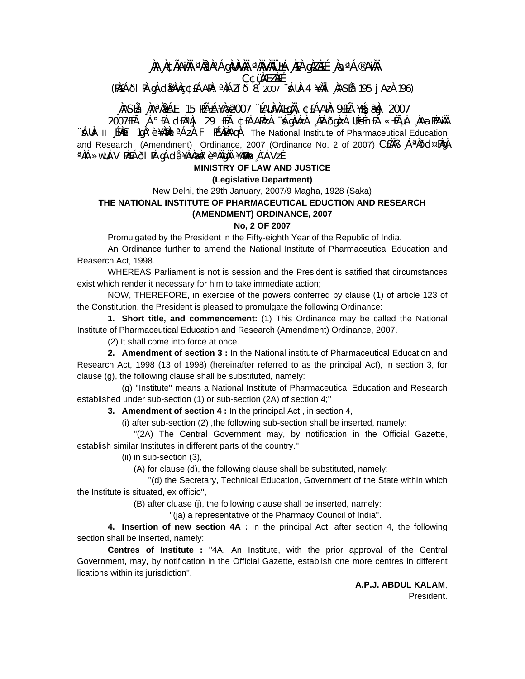# **ِÀA¸À¢ÃAìÀÄ ªÀåªÀºÁgÀUÀ¼Ä ªÀÑvÀÛ±Á¸ÀÈÀ gÀZÀ£É ¸ÀaªÁ®AiЍÄ.**<br>C¢ÿÀÆZÀÉÉ<br>(195 j AzÀ 196) (PA£Áði PÀ gÁd¥ÀvÀç ¢£ÁAPÀ: ªÀiÁZïð 8, 2007 ¨sÁUÀ-4 ¥ÀÄl∫ÀASÉà(195 jAzÀ 196)

## **¸ÀASÉå: ¸ÀAªÀå±ÁE 15 PÉñÁ¥Àæ 2007 ¨ÉAUÀ¼ÀÆgÀÄ, ¢£ÁAPÀ: 9£Éà ¥sɧæªÀj 2007**

2007£Éà ¸Á°£À d£ÀªÀj 29 £Éà ¢£ÁAPÀzÀ ¨sÁgÀvÀzÀ ¸ÀPÁðgÀzÀ UÉeÉn£À «±ÉõÀ ¸ÀAaPÉAiÀÄ  $\hat{A}$ UÀ- II [PÀËI] 1gÀ°è ¥À $\hat{R}$ l <sup>a</sup>ÁzĂ F Pɼ $\hat{P}$ ÀAdÀ The National Institute of Pharmaceutical Education and Research (Amendment) Ordinance, 2007 (Ordinance No. 2 of 2007) C£ÀÄß ¸ÁªÀðd¤PÀgÀ <sup>a</sup>ÀiÁ»wUÁV PÀ£ÁðI PÀ gÁdå ¥ÀvÀæÀ°è <sup>a</sup>ÀÄgÀÄ ¥ÀàÀn À¯ÁVzÉ

## **MINISTRY OF LAW AND JUSTICE**

#### **(Legislative Department)**

New Delhi, the 29th January, 2007/9 Magha, 1928 (Saka)

## **THE NATIONAL INSTITUTE OF PHARMACEUTICAL EDUCTION AND RESEARCH (AMENDMENT) ORDINANCE, 2007**

#### **No, 2 OF 2007**

Promulgated by the President in the Fifty-eighth Year of the Republic of India.

 An Ordinance further to amend the National Institute of Pharmaceutical Education and Reaserch Act, 1998.

 WHEREAS Parliament is not is session and the President is satified that circumstances exist which render it necessary for him to take immediate action;

 NOW, THEREFORE, in exercise of the powers conferred by clause (1) of article 123 of the Constitution, the President is pleased to promulgate the following Ordinance:

**1. Short title, and commencement:** (1) This Ordinance may be called the National Institute of Pharmaceutical Education and Research (Amendment) Ordinance, 2007.

(2) It shall come into force at once.

**2. Amendment of section 3 :** In the National institute of Pharmaceutical Education and Research Act, 1998 (13 of 1998) (hereinafter referred to as the principal Act), in section 3, for clause (g), the following clause shall be substituted, namely:

 (g) ''Institute'' means a National Institute of Pharmaceutical Education and Research established under sub-section (1) or sub-section (2A) of section 4;''

**3. Amendment of section 4 :** In the principal Act,, in section 4,

(i) after sub-section (2) ,the following sub-section shall be inserted, namely:

 ''(2A) The Central Government may, by notification in the Official Gazette, establish similar Institutes in different parts of the country.''

(ii) in sub-section (3),

(A) for clause (d), the following clause shall be substituted, namely:

 ''(d) the Secretary, Technical Education, Government of the State within which the Institute is situated, ex officio'',

(B) after cluase (j), the following clause shall be inserted, namely:

''(ja) a representative of the Pharmacy Council of India''.

**4. Insertion of new section 4A :** In the principal Act, after section 4, the following section shall be inserted, namely:

**Centres of Institute :** ''4A. An Institute, with the prior approval of the Central Government, may, by notification in the Official Gazette, establish one more centres in different lications within its jurisdiction''.

> **A.P.J. ABDUL KALAM**, President.